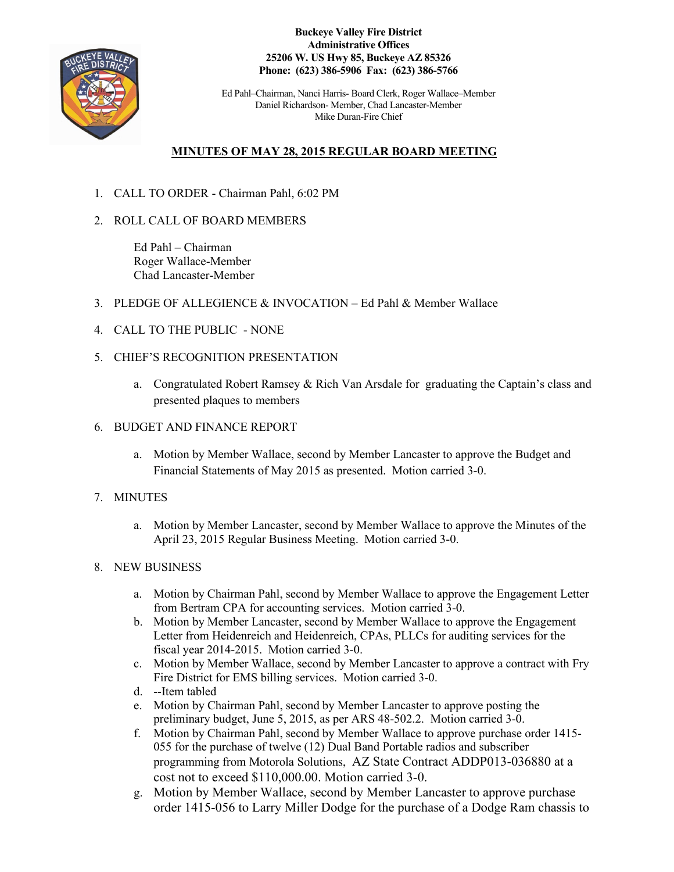

**Buckeye Valley Fire District Administrative Offices 25206 W. US Hwy 85, Buckeye AZ 85326 Phone: (623) 386-5906 Fax: (623) 386-5766**

Ed Pahl–Chairman, Nanci Harris- Board Clerk, Roger Wallace–Member Daniel Richardson- Member, Chad Lancaster-Member Mike Duran-Fire Chief

# **MINUTES OF MAY 28, 2015 REGULAR BOARD MEETING**

- 1. CALL TO ORDER Chairman Pahl, 6:02 PM
- 2. ROLL CALL OF BOARD MEMBERS

Ed Pahl – Chairman Roger Wallace-Member Chad Lancaster-Member

- 3. PLEDGE OF ALLEGIENCE & INVOCATION Ed Pahl & Member Wallace
- 4. CALL TO THE PUBLIC NONE
- 5. CHIEF'S RECOGNITION PRESENTATION
	- a. Congratulated Robert Ramsey & Rich Van Arsdale for graduating the Captain's class and presented plaques to members

#### 6. BUDGET AND FINANCE REPORT

a. Motion by Member Wallace, second by Member Lancaster to approve the Budget and Financial Statements of May 2015 as presented. Motion carried 3-0.

## 7. MINUTES

a. Motion by Member Lancaster, second by Member Wallace to approve the Minutes of the April 23, 2015 Regular Business Meeting. Motion carried 3-0.

## 8. NEW BUSINESS

- a. Motion by Chairman Pahl, second by Member Wallace to approve the Engagement Letter from Bertram CPA for accounting services. Motion carried 3-0.
- b. Motion by Member Lancaster, second by Member Wallace to approve the Engagement Letter from Heidenreich and Heidenreich, CPAs, PLLCs for auditing services for the fiscal year 2014-2015. Motion carried 3-0.
- c. Motion by Member Wallace, second by Member Lancaster to approve a contract with Fry Fire District for EMS billing services. Motion carried 3-0.
- d. --Item tabled
- e. Motion by Chairman Pahl, second by Member Lancaster to approve posting the preliminary budget, June 5, 2015, as per ARS 48-502.2. Motion carried 3-0.
- f. Motion by Chairman Pahl, second by Member Wallace to approve purchase order 1415- 055 for the purchase of twelve (12) Dual Band Portable radios and subscriber programming from Motorola Solutions, AZ State Contract ADDP013-036880 at a cost not to exceed \$110,000.00. Motion carried 3-0.
- g. Motion by Member Wallace, second by Member Lancaster to approve purchase order 1415-056 to Larry Miller Dodge for the purchase of a Dodge Ram chassis to